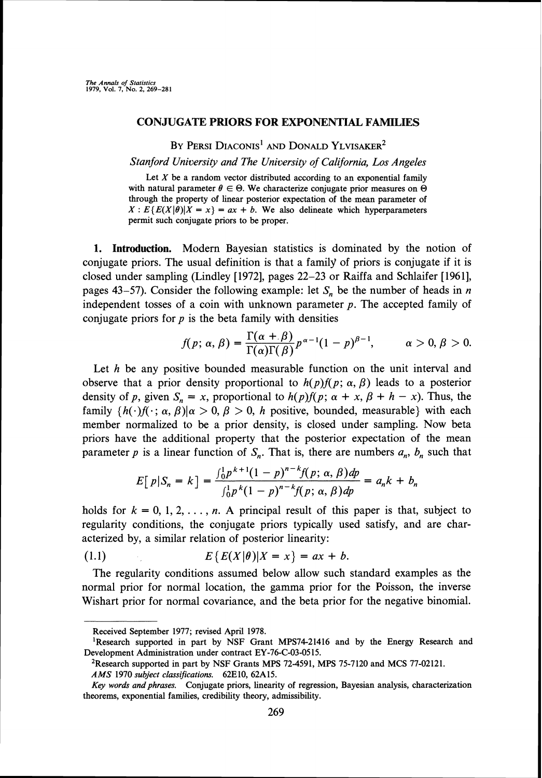## **CONJUGATE PRIORS FOR EXPONENTIAL FAMILIES**

BY PERSI DIACONIS<sup>1</sup> AND **DONALD YLVISAKER<sup>2</sup>** 

Stanford University and The University of California, Los Angeles

Let  $X$  be a random vector distributed according to an exponential family with natural parameter  $\theta \in \Theta$ . We characterize conjugate prior measures on  $\Theta$ through the property of linear posterior expectation of the mean parameter of  $X: E\{E(X|\theta)|X=x\} = ax + b$ . We also delineate which hyperparameters permit such conjugate priors to be proper.

**1. Introduction.** Modern Bayesian statistics is dominated by the notion of conjugate priors. The usual definition is that a family of priors is conjugate if it is closed under sampling (Lindley [1972], pages 22-23 or Raiffa and Schlaifer [1961], pages 43-57). Consider the following example: let  $S_n$  be the number of heads in n independent tosses of a coin with unknown parameter  $p$ . The accepted family of conjugate priors for  $p$  is the beta family with densities

$$
f(p; \alpha, \beta) = \frac{\Gamma(\alpha + \beta)}{\Gamma(\alpha)\Gamma(\beta)} p^{\alpha - 1} (1 - p)^{\beta - 1}, \qquad \alpha > 0, \beta > 0.
$$

Let  $h$  be any positive bounded measurable function on the unit interval and observe that a prior density proportional to  $h(p)f(p; \alpha, \beta)$  leads to a posterior density of p, given  $S_n = x$ , proportional to  $h(p)f(p; \alpha + x, \beta + h - x)$ . Thus, the family  $\{h(\cdot)f(\cdot; \alpha, \beta)|\alpha > 0, \beta > 0, h$  positive, bounded, measurable) with each member normalized to be a prior density, is closed under sampling. Now beta priors have the additional property that the posterior expectation of the mean parameter p is a linear function of  $S_n$ . That is, there are numbers  $a_n$ ,  $b_n$  such that

$$
E[p|S_n = k] = \frac{\int_0^1 p^{k+1} (1-p)^{n-k} f(p; \alpha, \beta) dp}{\int_0^1 p^k (1-p)^{n-k} f(p; \alpha, \beta) dp} = a_n k + b_n
$$

holds for  $k = 0, 1, 2, \ldots, n$ . A principal result of this paper is that, subject to regularity conditions, the conjugate priors typically used satisfy, and are characterized by, a similar relation of posterior linearity:

(1.1) 
$$
E\{E(X|\theta)|X = x\} = ax + b.
$$

The regularity conditions assumed below allow such standard examples as the normal prior for normal location, the gamma prior for the Poisson, the inverse Wishart prior for normal covariance, and the beta prior for the negative binomial.

*A* MS 1970 *subject classifications.* 62E 10, 62A15.

Received September 1977; revised April 1978.

<sup>&#</sup>x27;Research supported in part by NSF Grant MPS74-21416 and by the Energy Research and Development Administration under contract EY-76-C-03-0515.

<sup>&</sup>lt;sup>2</sup>Research supported in part by NSF Grants MPS 72-4591, MPS 75-7120 and MCS 77-02121.

*Key words andphrases.* Conjugate priors, linearity of regression, Bayesian analysis, characterization theorems, exponential families, credibility theory, admissibility.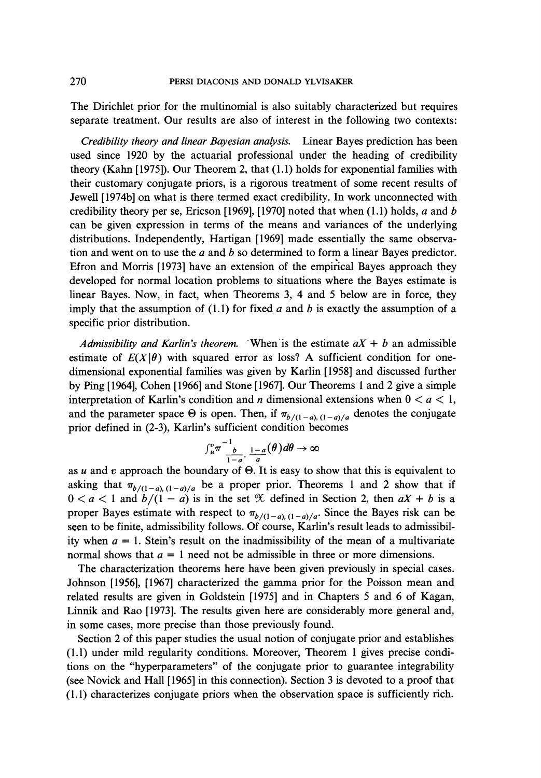The Dirichlet prior for the multinomial is also suitably characterized but requires separate treatment. Our results are also of interest in the following two contexts:

*Credibility theory and linear Bayesian analysis.* Linear Bayes prediction has been used since 1920 by the actuarial professional under the heading of credibility theory (Kahn [1975]). Our Theorem **2,** that (1.1) holds for exponential families with their customary conjugate priors, is a rigorous treatment of some recent results of Jewel1 [1974b] on what is there termed exact credibility. In work unconnected with credibility theory per se, Ericson [1969], [I9701 noted that when (1.1) holds, *a* and *b*  can be given expression in terms of the means and variances of the underlying distributions. Independently, Hartigan [I9691 made essentially the same observation and went on to use the *a* and *b* so determined to form a linear Bayes predictor. Efron and Morris [1973] have an extension of the empirical Bayes approach they developed for normal location problems to situations where the Bayes estimate is linear Bayes. Now, in fact, when Theorems 3, 4 and 5 below are in force, they imply that the assumption of (1.1) for fixed *a* and *b* is exactly the assumption of a specific prior distribution.

*Admissibility and Karlin's theorem.* When is the estimate  $aX + b$  an admissible estimate of  $E(X|\theta)$  with squared error as loss? A sufficient condition for onedimensional exponential families was given by Karlin [1958] and discussed further by Ping [1964], Cohen [I9661 and Stone [1967]. Our Theorems 1 and 2 give a simple interpretation of Karlin's condition and *n* dimensional extensions when  $0 < a < 1$ , and the parameter space  $\Theta$  is open. Then, if  $\pi_{b/(1-a),(1-a)/a}$  denotes the conjugate prior defined in (2-3), Karlin's sufficient condition becomes  $(v<sub>e</sub> - 1)$  (*a*)  $d\theta$ 

$$
\int_u^v \pi^{-1} \frac{b}{1-a}, \frac{1-a}{a}(\theta) d\theta \to \infty
$$

as  $u$  and  $v$  approach the boundary of  $\Theta$ . It is easy to show that this is equivalent to asking that  $\pi_{b/(1-a),(1-a)/a}$  be a proper prior. Theorems 1 and 2 show that if  $0 < a < 1$  and  $b/(1 - a)$  is in the set  $\mathcal X$  defined in Section 2, then  $aX + b$  is a proper Bayes estimate with respect to  $\pi_{b/(1-a),(1-a)/a}$ . Since the Bayes risk can be seen to be finite, admissibility follows. Of course, Karlin's result leads to admissibility when  $a = 1$ . Stein's result on the inadmissibility of the mean of a multivariate normal shows that  $a = 1$  need not be admissible in three or more dimensions.

The characterization theorems here have been given previously in special cases. Johnson [1956], [I9671 characterized the gamma prior for the Poisson mean and related results are given in Goldstein [1975] and in Chapters 5 and 6 of Kagan, Linnik and Rao [1973]. The results given here are considerably more general and, in some cases, more precise than those previously found.

Section 2 of this paper studies the usual notion of conjugate prior and establishes (1.1) under mild regularity conditions. Moreover, Theorem 1 gives precise conditions on the "hyperparameters" of the conjugate prior to guarantee integrability (see Novick and Hall [I9651 in this connection). Section 3 is devoted to a proof that (1.1) characterizes conjugate priors when the observation space is sufficiently rich.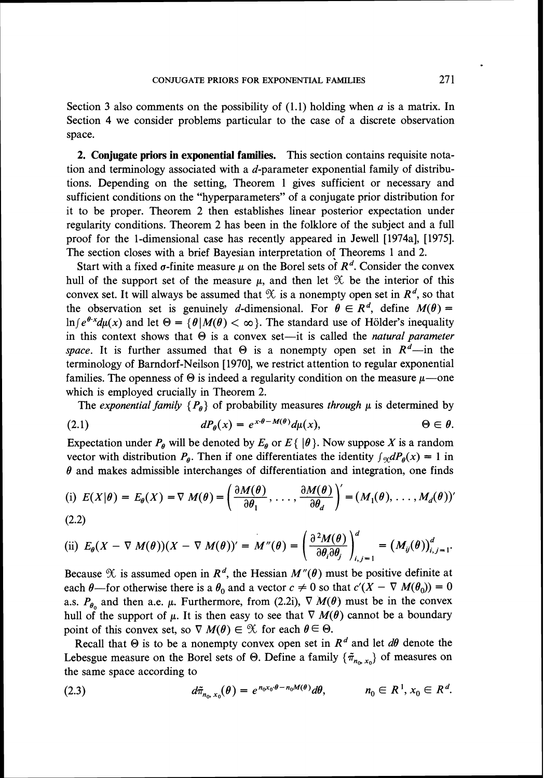Section **3** also comments on the possibility of (1.1) holding when a is a matrix. In Section 4 we consider problems particular to the case of a discrete observation space.

**2. Conjugate priors in exponential families.** This section contains requisite notation and terminology associated with a d-parameter exponential family of distributions. Depending on the setting, Theorem 1 gives sufficient or necessary and sufficient conditions on the "hyperparameters" of a conjugate prior distribution for it to be proper. Theorem 2 then establishes linear posterior expectation under regularity conditions. Theorem 2 has been in the folklore of the subject and a full proof for the 1-dimensional case has recently appeared in Jewel1 [1974a], [1975]. The section closes with a brief Bayesian interpretation of Theorems 1 and 2.

Start with a fixed  $\sigma$ -finite measure  $\mu$  on the Borel sets of  $R^d$ . Consider the convex hull of the support set of the measure  $\mu$ , and then let  $\mathcal{K}$  be the interior of this convex set. It will always be assumed that  $\mathcal X$  is a nonempty open set in  $\mathbb R^d$ , so that the observation set is genuinely d-dimensional. For  $\theta \in R^d$ , define  $M(\theta) =$  $\ln(e^{\theta x}d\mu(x)$  and let  $\Theta = {\theta | M(\theta) < \infty}$ . The standard use of Hölder's inequality in this context shows that  $\Theta$  is a convex set—it is called the *natural parameter* space. It is further assumed that  $\Theta$  is a nonempty open set in  $R^d$ —in the terminology of Barndorf-Neilson [1970], we restrict attention to regular exponential families. The openness of  $\Theta$  is indeed a regularity condition on the measure  $\mu$ —one which is employed crucially in Theorem 2.

The *exponential family*  ${P_{\theta}}$  of probability measures *through*  $\mu$  is determined by

(2.1) 
$$
dP_{\theta}(x) = e^{x \cdot \theta - M(\theta)} d\mu(x), \qquad \Theta \in \theta.
$$

Expectation under  $P_{\theta}$  will be denoted by  $E_{\theta}$  or  $E\{\|\theta\}$ . Now suppose X is a random vector with distribution  $P_{\theta}$ . Then if one differentiates the identity  $\int_{\mathcal{R}} dP_{\theta}(x) = 1$  in  $\theta$  and makes admissible interchanges of differentiation and integration, one finds The *exponential family*  $\{P_{\theta}\}\$  of probability measures *through*  $\mu$  is determined by<br>
(2.1)  $dP_{\theta}(x) = e^{x \theta - M(\theta)} d\mu(x), \qquad \theta \in \theta$ .<br>
Expectation under  $P_{\theta}$  will be denoted by  $E_{\theta}$  or  $E\{\|\theta\}$ . Now suppose X is

(i) 
$$
E(X|\theta) = E_{\theta}(X) = \nabla M(\theta) = \left(\frac{\partial M(\theta)}{\partial \theta_1}, \dots, \frac{\partial M(\theta)}{\partial \theta_d}\right)' = (M_1(\theta), \dots, M_d(\theta))'
$$

(ii) 
$$
E_{\theta}(X - \nabla M(\theta))(X - \nabla M(\theta))' = M''(\theta) = \left(\frac{\partial^2 M(\theta)}{\partial \theta_i \partial \theta_j}\right)_{i,j=1}^d = (M_{ij}(\theta))_{i,j=1}^d
$$

Because  $\mathcal K$  is assumed open in  $\mathbb R^d$ , the Hessian  $M''(\theta)$  must be positive definite at each  $\theta$ —for otherwise there is a  $\theta_0$  and a vector  $c \neq 0$  so that  $c'(X - \nabla M(\theta_0)) = 0$ a.s.  $P_{\theta_0}$  and then a.e.  $\mu$ . Furthermore, from (2.2i),  $\nabla M(\theta)$  must be in the convex hull of the support of  $\mu$ . It is then easy to see that  $\nabla M(\theta)$  cannot be a boundary point of this convex set, so  $\nabla M(\theta) \in \mathcal{K}$  for each  $\theta \in \Theta$ .

Recall that  $\Theta$  is to be a nonempty convex open set in  $R^d$  and let  $d\theta$  denote the Lebesgue measure on the Borel sets of  $\Theta$ . Define a family  $\{\tilde{\pi}_{n_0, x_0}\}$  of measures on the same space according to

$$
(2.3) \t d\tilde{\pi}_{n_0, x_0}(\theta) = e^{n_0 x_0 \theta - n_0 M(\theta)} d\theta, \t n_0 \in R^1, x_0 \in R^d.
$$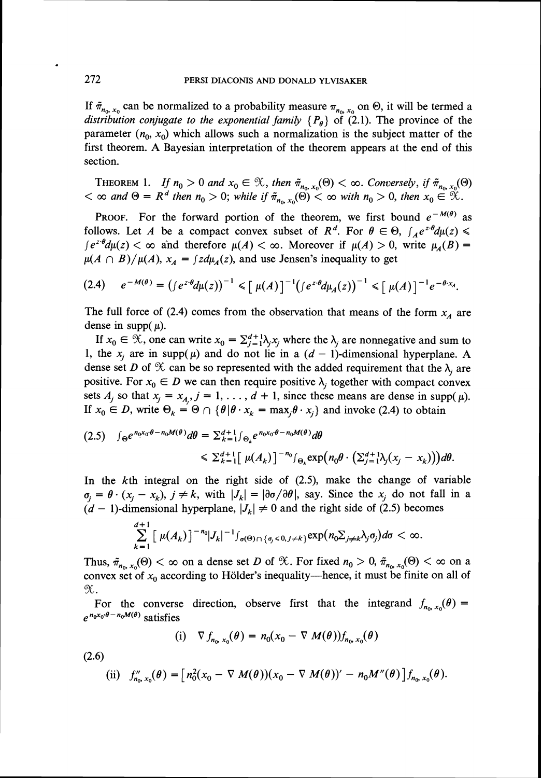If  $\tilde{\pi}_{n_0, x_0}$  can be normalized to a probability measure  $\pi_{n_0, x_0}$  on  $\Theta$ , it will be termed a distribution conjugate to the exponential family  $\{P_{\theta}\}\$  of (2.1). The province of the parameter  $(n_0, x_0)$  which allows such a normalization is the subject matter of the first theorem. A Bayesian interpretation of the theorem appears at the end of this section.

**THEOREM 1.** If  $n_0 > 0$  and  $x_0 \in \mathcal{K}$ , then  $\tilde{\pi}_{n_0, x_0}(\Theta) < \infty$ . Conversely, if  $\tilde{\pi}_{n_0, x_0}(\Theta)$  $<\infty$  and  $\Theta = R^d$  then  $n_0 > 0$ ; while if  $\tilde{\pi}_{n_0, x_0}(\Theta) < \infty$  with  $n_0 > 0$ , then  $x_0 \in \mathcal{X}$ .

**PROOF.** For the forward portion of the theorem, we first bound  $e^{-M(\theta)}$  as follows. Let A be a compact convex subset of  $R^d$ . For  $\theta \in \Theta$ ,  $\int_A e^{z \cdot \theta} d\mu(z)$  $\int e^{z \cdot \theta} d\mu(z) < \infty$  and therefore  $\mu(A) < \infty$ . Moreover if  $\mu(A) > 0$ , write  $\mu_A(B) =$  $\mu(A \cap B)/\mu(A), x_A = \int z d\mu_A(z)$ , and use Jensen's inequality to get

$$
(2.4) \qquad e^{-M(\theta)} = \left(\int e^{z\cdot\theta} d\mu(z)\right)^{-1} \leqslant \left[\mu(A)\right]^{-1} \left(\int e^{z\cdot\theta} d\mu_A(z)\right)^{-1} \leqslant \left[\mu(A)\right]^{-1} e^{-\theta \cdot x_A}.
$$

The full force of (2.4) comes from the observation that means of the form  $x_A$  are dense in supp $(\mu)$ .

If  $x_0 \in \mathcal{K}$ , one can write  $x_0 = \sum_{j=1}^{d+1} \lambda_j x_j$  where the  $\lambda_j$  are nonnegative and sum to 1, the  $x_j$  are in supp( $\mu$ ) and do not lie in a  $(d - 1)$ -dimensional hyperplane. A dense set D of  $\mathcal X$  can be so represented with the added requirement that the  $\lambda_i$  are positive. For  $x_0 \in D$  we can then require positive  $\lambda_i$  together with compact convex sets  $A_j$  so that  $x_j = x_{j, j} = 1, \ldots, d + 1$ , since these means are dense in supp( $\mu$ ). If  $x_0 \in D$ , write  $\Theta_k = \Theta \cap {\theta | \theta \cdot x_k = \max_i \theta \cdot x_i}$  and invoke (2.4) to obtain

$$
(2.5) \quad \int_{\Theta} e^{n_0 x_0 \theta - n_0 M(\theta)} d\theta = \sum_{k=1}^{d+1} \int_{\Theta_k} e^{n_0 x_0 \theta - n_0 M(\theta)} d\theta
$$
  
\$\leq \sum\_{k=1}^{d+1} \left[ \mu(A\_k) \right]^{-n\_0} \int\_{\Theta\_k} \exp\left(n\_0 \theta \cdot \left( \sum\_{j=1}^{d+1} \lambda\_j (x\_j - x\_k) \right) \right) d\theta\$.

In the kth integral on the right side of (2.5), make the change of variable  $\sigma_i = \theta \cdot (x_i - x_k)$ ,  $j \neq k$ , with  $|J_k| = |\partial \sigma/\partial \theta|$ , say. Since the  $x_i$  do not fall in a  $(d - 1)$ -dimensional hyperplane,  $|J_k| \neq 0$  and the right side of (2.5) becomes

$$
\sum_{k=1}^{d+1} \left[ \mu(A_k) \right]^{-n_0} |J_k|^{-1} \mathcal{F}_{\sigma(\Theta) \cap {\sigma_j < 0, j \neq k} } \exp(n_0 \Sigma_{j \neq k} \lambda_j \sigma_j) d\sigma < \infty.
$$

Thus,  $\tilde{\pi}_{n_{0},\chi_{0}}(\Theta) < \infty$  on a dense set D of  $\mathcal{X}$ . For fixed  $n_{0} > 0$ ,  $\tilde{\pi}_{n_{0},\chi_{0}}(\Theta) < \infty$  on a convex set of  $x_0$  according to Hölder's inequality-hence, it must be finite on all of x.

For the converse direction, observe first that the integrand  $f_{n_0, x_0}(\theta)$  =  $e^{n_0x_0\cdot\theta - n_0M(\theta)}$  satisfies

(i) 
$$
\nabla f_{n_0, x_0}(\theta) = n_0(x_0 - \nabla M(\theta)) f_{n_0, x_0}(\theta)
$$

 $(2.6)$ 

(ii) 
$$
f''_{n_0, x_0}(\theta) = [n_0^2(x_0 - \nabla M(\theta))(x_0 - \nabla M(\theta))' - n_0 M''(\theta)]f_{n_0, x_0}(\theta).
$$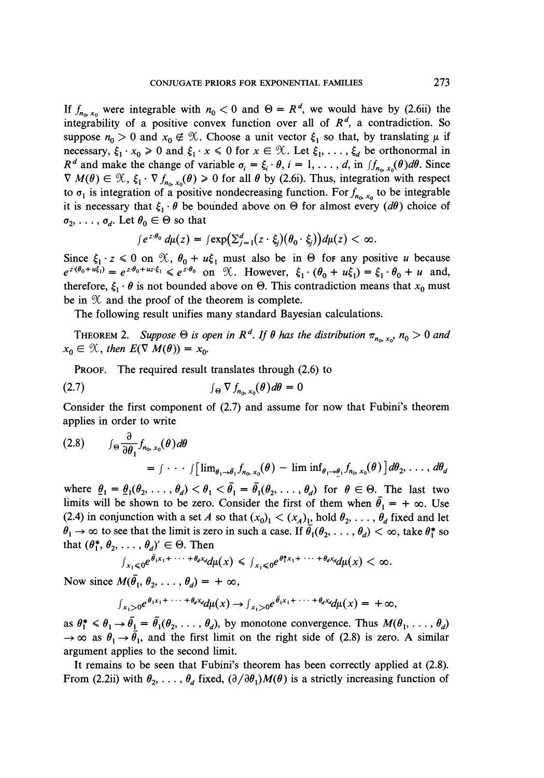If  $f_{n_0, x_0}$  were integrable with  $n_0 < 0$  and  $\Theta = R^d$ , we would have by (2.6ii) the integrability of a positive convex function over all of  $R<sup>d</sup>$ , a contradiction. So suppose  $n_0 > 0$  and  $x_0 \notin \mathcal{K}$ . Choose a unit vector  $\xi_1$  so that, by translating  $\mu$  if necessary,  $\xi_1 \cdot x_0 \ge 0$  and  $\xi_1 \cdot x \le 0$  for  $x \in \mathcal{K}$ . Let  $\xi_1, \ldots, \xi_d$  be orthonormal in  $R^d$  and make the change of variable  $\sigma_i = \xi_i \cdot \theta$ ,  $i = 1, \ldots, d$ , in  $\int_{n_0, x_0} (\theta) d\theta$ . Since  $\nabla M(\theta) \in \mathcal{K}, \xi_1 \cdot \nabla f_{n_0, x_0}(\theta) \geq 0$  for all  $\theta$  by (2.6i). Thus, integration with respect to  $\sigma_1$  is integration of a positive nondecreasing function. For  $f_{n_0, x_0}$  to be integrable it is necessary that  $\xi_1 \cdot \theta$  be bounded above on  $\Theta$  for almost every (d $\theta$ ) choice of  $\sigma_2, \ldots, \sigma_d$ . Let  $\theta_0 \in \Theta$  so that

$$
(\,e^{z\cdot\theta_0}\,d\mu(z)\,=\, \text{exp}\big(\Sigma_{j=1}^d(z\cdot\xi_j)(\theta_0\cdot\xi_j)\big)d\mu(z)\,<\,\infty.
$$

Since  $\xi_1 \cdot z \le 0$  on  $\mathcal{X}, \theta_0 + u\xi_1$  must also be in  $\Theta$  for any positive u because  $e^{z(\theta_0 + u\xi_1)} = e^{z \cdot \theta_0 + u z \cdot \xi_1} \leq e^{z \cdot \theta_0}$  on  $\mathcal{K}$ . However,  $\xi_1 \cdot (\theta_0 + u\xi_1) = \xi_1 \cdot \theta_0 + u$  and, therefore,  $\xi_1 \cdot \theta$  is not bounded above on  $\Theta$ . This contradiction means that  $x_0$  must be in  $X$  and the proof of the theorem is complete.

The following result unifies many standard Bayesian calculations.

THEOREM 2. Suppose  $\Theta$  is open in  $R^d$ . If  $\theta$  has the distribution  $\pi_{n_0,x_0}$ ,  $n_0 > 0$  and  $x_0 \in \mathcal{X}$ , then  $E(\nabla M(\theta)) = x_0$ .

PROOF. The required result translates through  $(2.6)$  to

$$
\int_{\Theta} \nabla f_{n_0, x_0}(\theta) d\theta = 0
$$

Consider the first component of (2.7) and assume for now that Fubini's theorem applies in order to write

$$
(2.8) \qquad \int_{\Theta} \frac{\partial}{\partial \theta_1} f_{n_0, x_0}(\theta) d\theta
$$
  
=  $\int \cdots \int \left[ \lim_{\theta_1 \to \theta_1} f_{n_0, x_0}(\theta) - \lim_{\theta_1 \to \theta_1} f_{n_0, x_0}(\theta) \right] d\theta_2, \ldots, d\theta_d$ 

where  $\underline{\theta}_1 = \underline{\theta}_1(\theta_2,\ldots,\theta_d) < \theta_1 < \overline{\theta}_1 = \overline{\theta}_1(\theta_2,\ldots,\theta_d)$  for  $\theta \in \Theta$ . The last two limits will be shown to be zero. Consider the first of them when  $\bar{\theta}_1 = +\infty$ . Use (2.4) in conjunction with a set *A* so that  $(x_0)_1 < (x_A)_1$ , hold  $\theta_2, \ldots, \theta_d$  fixed and let  $\theta_1 \to \infty$  to see that the limit is zero in such a case. If  $\theta_1(\theta_2, \ldots, \theta_d) < \infty$ , take  $\theta_1^*$  so that  $(\theta_1^*, \theta_2, \ldots, \theta_d)' \in \Theta$ . Then

$$
\int_{x_1 \leq 0} e^{\bar{\theta_1}x_1 + \cdots + \theta_d x_d} d\mu(x) \leq \int_{x_1 \leq 0} e^{\theta \dagger x_1 + \cdots + \theta_d x_d} d\mu(x) < \infty.
$$

Now since  $M(\bar{\theta}_1, \theta_2, \ldots, \theta_d) = +\infty$ ,

$$
\int_{x_1>0}e^{\theta_1x_1+\cdots+\theta_dx_d}d\mu(x)\to\int_{x_1>0}e^{\bar{\theta_1}x_1+\cdots+\theta_dx_d}d\mu(x)=+\infty,
$$

as  $\theta_1^* \leq \theta_1 \rightarrow \bar{\theta}_1 = \bar{\theta}_1(\theta_2, \ldots, \theta_d)$ , by monotone convergence. Thus  $M(\theta_1, \ldots, \theta_d)$  $\rightarrow \infty$  as  $\theta_1 \rightarrow \bar{\theta_1}$ , and the first limit on the right side of (2.8) is zero. A similar argument applies to the second limit.

It remains to be seen that Fubini's theorem has been correctly applied at (2.8). From (2.2ii) with  $\theta_2, \ldots, \theta_d$  fixed,  $(\partial/\partial \theta_1)M(\theta)$  is a strictly increasing function of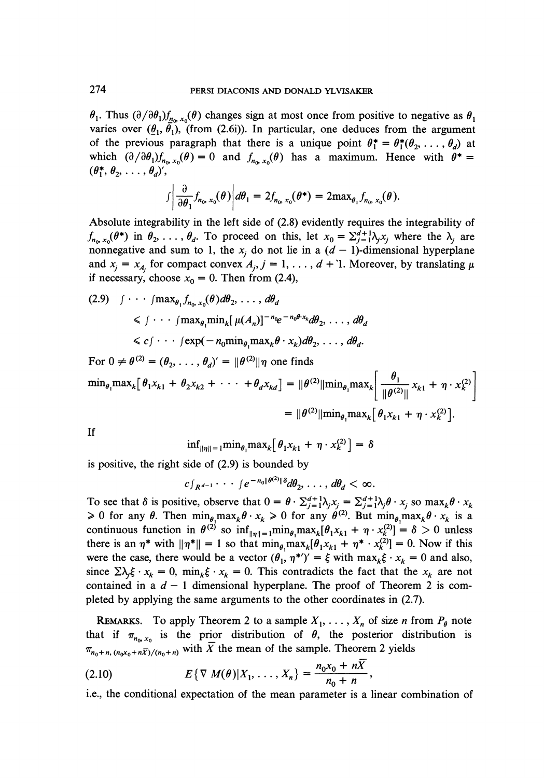$\theta_1$ . Thus  $(\partial/\partial \theta_1) f_{n_0,x_0}(\theta)$  changes sign at most once from positive to negative as  $\theta_1$ varies over  $(\underline{\theta}_1, \theta_1)$ , (from (2.6i)). In particular, one deduces from the argument of the previous paragraph that there is a unique point  $\theta_1^* = \theta_1^*(\theta_2, \ldots, \theta_d)$  at which  $(\partial/\partial \theta_1) f_{n_0, x_0}(\theta) = 0$  and  $f_{n_0, x_0}(\theta)$  has a maximum. Hence with  $\theta^* =$  $(\theta_1^*, \theta_2, \ldots, \theta_d)'$ ,

$$
\int \left| \frac{\partial}{\partial \theta_1} f_{n_0, x_0}(\theta) \right| d\theta_1 = 2 f_{n_0, x_0}(\theta^*) = 2 \max_{\theta_1} f_{n_0, x_0}(\theta)
$$

Absolute integrability in the left side of (2.8) evidently requires the integrability of  $f_{n_0, x_0}(\theta^*)$  in  $\theta_2, \ldots, \theta_d$ . To proceed on this, let  $x_0 = \sum_{j=1}^{d+1} \lambda_j x_j$  where the  $\lambda_j$  are nonnegative and sum to 1, the  $x_j$  do not lie in a  $(d-1)$ -dimensional hyperplane and  $x_j = x_{A_j}$  for compact convex  $A_j$ ,  $j = 1, ..., d + 1$ . Moreover, by translating  $\mu$ if necessary, choose  $x_0 = 0$ . Then from (2.4),

$$
(2.9) \quad \int \cdots \int \max_{\theta_1} f_{n_0, x_0}(\theta) d\theta_2, \ldots, d\theta_d
$$
\n
$$
\leq \int \cdots \int \max_{\theta_1} \min_k [\mu(A_n)]^{-n} e^{-n_0 \theta \cdot x_k} d\theta_2, \ldots, d\theta_d
$$
\n
$$
\leq c \int \cdots \int \exp(-n_0 \min_{\theta_1} \max_k \theta \cdot x_k) d\theta_2, \ldots, d\theta_d.
$$

For  $0 \neq \theta^{(2)} = (\theta_2, \ldots, \theta_d)' = ||\theta^{(2)}||\eta$  one finds  $+ \theta_d x_{kd}$ ] =  $\|\theta^{(2)}\| \min_{\theta_1} \max_{k} \left| \frac{\theta}{\theta_d} \right|$  $\leq \int \cdots \int \max_{\theta_1} \min_k[\mu(A_n)]^{-n} e^{-n_0 \theta \cdot x_k} d\theta_2, \ldots, d\theta_d$ <br>  $\leq c \int \cdots \int \exp(-n_0 \min_{\theta_1} \max_k \theta \cdot x_k) d\theta_2, \ldots, d\theta_d.$ <br>
For  $0 \neq \theta^{(2)} = (\theta_2, \ldots, \theta_d)' = ||\theta^{(2)}|| \eta$  one finds<br>  $\min_{\theta_1} \max_k [\theta_1 x_{k1} + \theta_2 x_{k2} + \cdots + \theta_d x_{kd}] = ||\theta^{(2)}|| \min_{$ =  $\|\theta^{(2)}\| \min_{\theta, \max_{k} \left[\theta_{1}x_{k1} + \eta \cdot x_{k}^{(2)}\right]}.$ 

If

$$
\inf_{\|\eta\|=1}\min_{\theta_1}\max_k\big[\theta_1x_{k1}+\eta\cdot x_k^{(2)}\big]=\delta
$$

is positive, the right side of (2.9) is bounded by

$$
c\int_{R^{d-1}}\cdot\cdot\cdot\cdot e^{-n_0||\theta^{(2)}||\delta}d\theta_2,\ldots,d\theta_d<\infty.
$$

To see that  $\delta$  is positive, observe that  $0 = \theta \cdot \sum_{j=1}^{d+1} \lambda_j x_j = \sum_{j=1}^{d+1} \lambda_j \theta \cdot x_j$  so  $\max_k \theta \cdot x_k$  $\geq 0$  for any  $\theta$ . Then  $\min_{\theta_1} \max_k \theta \cdot x_k \geq 0$  for any  $\theta^{(2)}$ . But  $\min_{\theta_1} \max_k \theta \cdot x_k$  is a continuous function in  $\theta^{(\alpha)}$  so  $\hat{\inf}_{\|\eta\|_1=\alpha} \hat{\min}_{\theta_1} \max_k[\theta_1x_{k_1}+\eta \cdot x_k^{(\alpha)}]= \delta > 0$  unless there is an  $\eta^*$  with  $\|\eta^*\| = 1$  so that  $\min_{\theta_1} \max_k[\theta_1x_{k_1} + \eta^* \cdot x_k^{(2)}] = 0$ . Now if this were the case, there would be a vector  $(\theta_1, \eta^{*})' = \xi$  with  $\max_k \xi \cdot x_k = 0$  and also, since  $\sum \lambda_i \xi \cdot x_k = 0$ ,  $\min_k \xi \cdot x_k = 0$ . This contradicts the fact that the  $x_k$  are not contained in a  $d - 1$  dimensional hyperplane. The proof of Theorem 2 is completed by applying the same arguments to the other coordinates in (2.7).

**REMARKS.** To apply Theorem 2 to a sample  $X_1, \ldots, X_n$  of size n from  $P_\theta$  note that if  $\pi_{n_0,x_0}$  is the prior distribution of  $\theta$ , the posterior distribution is  $\pi_{n_0+n,(n_0x_0+n_0\overline{X})/(n_0+n)}$  with  $\overline{X}$  the mean of the sample. Theorem 2 yields

(2.10) 
$$
E\{\nabla M(\theta)|X_1,\ldots,X_n\} = \frac{n_0x_0 + nX}{n_0 + n}
$$

i.e., the conditional expectation of the mean parameter is a linear combination of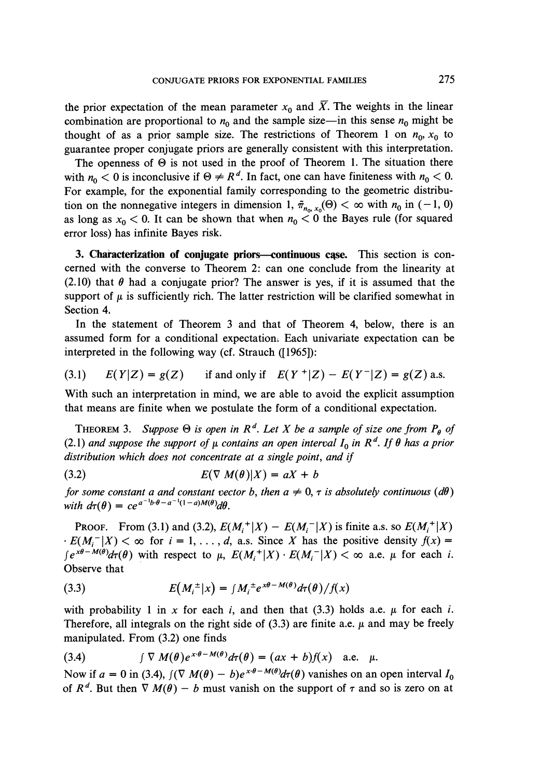the prior expectation of the mean parameter  $x_0$  and  $\overline{X}$ . The weights in the linear combination are proportional to  $n_0$  and the sample size—in this sense  $n_0$  might be thought of as a prior sample size. The restrictions of Theorem 1 on  $n_0$ ,  $x_0$  to guarantee proper conjugate priors are generally consistent with thls interpretation.

The openness of  $\Theta$  is not used in the proof of Theorem 1. The situation there with  $n_0 < 0$  is inconclusive if  $\Theta \neq R^d$ . In fact, one can have finiteness with  $n_0 < 0$ . For example, for the exponential family corresponding to the geometric distribution on the nonnegative integers in dimension 1,  $\tilde{\pi}_{n_0, x_0}(\Theta) < \infty$  with  $n_0$  in (-1, 0) as long as  $x_0 < 0$ . It can be shown that when  $n_0 < 0$  the Bayes rule (for squared error loss) has infinite Bayes risk.

**3. Characterization of conjugate priors—continuous case.** This section is concerned with the converse to Theorem 2: can one conclude from the linearity at (2.10) that  $\theta$  had a conjugate prior? The answer is yes, if it is assumed that the support of  $\mu$  is sufficiently rich. The latter restriction will be clarified somewhat in Section 4.

In the statement of Theorem 3 and that of Theorem 4, below, there is an assumed form for a conditional expectation. Each univariate expectation can be interpreted in the following way (cf. Strauch ([1965]):

(3.1) 
$$
E(Y|Z) = g(Z)
$$
 if and only if  $E(Y^+|Z) - E(Y^-|Z) = g(Z)$  a.s.

With such an interpretation in mind, we are able to avoid the explicit assumption that means are finite when we postulate the form of a conditional expectation.

THEOREM 3. Suppose  $\Theta$  is open in  $R^d$ . Let X be a sample of size one from  $P_{\theta}$  of (2.1) and suppose the support of  $\mu$  contains an open interval  $I_0$  in  $R^d$ . If  $\theta$  has a prior distribution which does not concentrate at a single point, and if

$$
(3.2) \tE(\nabla M(\theta)|X) = aX + b
$$

for some constant a and constant vector b, then  $a \neq 0$ ,  $\tau$  is absolutely continuous (d $\theta$ ) with  $d\tau(\theta) = ce^{a^{-1}b \cdot \theta - a^{-1}(1-a)M(\theta)}d\theta$ .

**PROOF.** From (3.1) and (3.2),  $E(M_i^+|X) - E(M_i^-|X)$  is finite a.s. so  $E(M_i^+|X)$  $E(M_i^{-1}X) < \infty$  for  $i = 1, \ldots, d$ , a.s. Since X has the positive density  $f(x) =$  $\int e^{x\theta-M(\theta)}d\tau(\theta)$  with respect to  $\mu$ ,  $E(M_i^+|X) \cdot E(M_i^-|X) < \infty$  a.e.  $\mu$  for each i. Observe that

(3.3) 
$$
E(M_i^{\pm}|x) = \int M_i^{\pm} e^{x\theta - M(\theta)} d\tau(\theta) / f(x)
$$

with probability 1 in x for each i, and then that  $(3.3)$  holds a.e.  $\mu$  for each i. Therefore, all integrals on the right side of  $(3.3)$  are finite a.e.  $\mu$  and may be freely manipulated. From (3.2) one finds

(3.4) 
$$
\int \nabla M(\theta) e^{x \cdot \theta - M(\theta)} d\tau(\theta) = (ax + b) f(x) \text{ a.e. } \mu.
$$

Now if  $a = 0$  in (3.4),  $\int (\nabla M(\theta) - b)e^{x \theta - M(\theta)} d\tau(\theta)$  vanishes on an open interval  $I_0$ of  $R^d$ . But then  $\nabla M(\theta) - b$  must vanish on the support of  $\tau$  and so is zero on at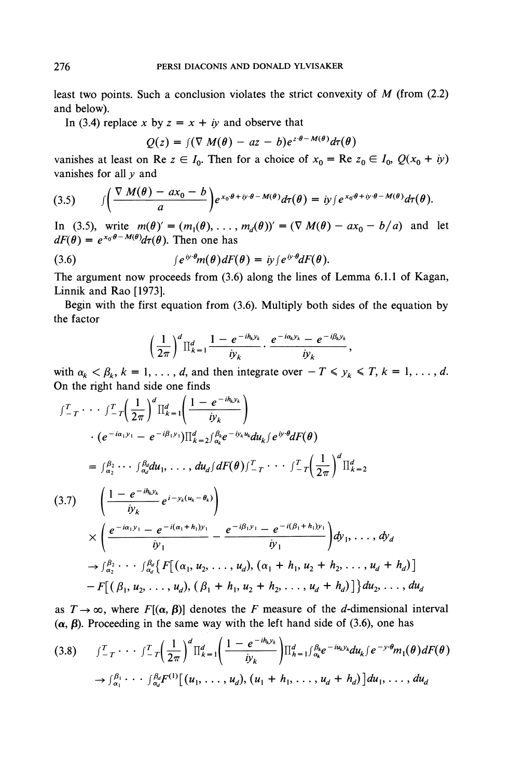least two points. Such a conclusion violates the strict convexity of *M* (from *(2.2)*  and below).

In (3.4) replace *x* by  $z = x + iy$  and observe that

$$
Q(z) = \int (\nabla M(\theta) - az - b)e^{z \cdot \theta - M(\theta)} d\tau(\theta)
$$

vanishes at least on Re  $z \in I_0$ . Then for a choice of  $x_0 = \text{Re } z_0 \in I_0$ ,  $Q(x_0 + iy)$ vanishes for all  $\nu$  and

(3.5) 
$$
\int \left( \frac{\nabla M(\theta) - a x_0 - b}{a} \right) e^{x_0 \theta + i y \cdot \theta - M(\theta)} d\tau(\theta) = i y \int e^{x_0 \theta + i y \cdot \theta - M(\theta)} d\tau(\theta).
$$

In (3.5), write  $m(\theta)' = (m_1(\theta), \ldots, m_d(\theta))' = (\nabla M(\theta) - ax_0 - b/a)$  and let  $dF(\theta) = e^{x_0 \cdot \theta - M(\theta)} d\tau(\theta)$ . Then one has

(3.6) 
$$
\int e^{iy \cdot \theta} m(\theta) dF(\theta) = iy \int e^{iy \cdot \theta} dF(\theta).
$$

The argument now proceeds from *(3.6)* along the lines of Lemma *6.1.1* of Kagan, Linnik and Rao *[1973].* 

Begin with the first equation from *(3.6).* Multiply both sides of the equation by the factor

$$
\left(\frac{1}{2\pi}\right)^d \prod_{k=1}^d \frac{1-e^{-ih_k y_k}}{iy_k} \cdot \frac{e^{-ia_k y_k}-e^{-i\beta_k y_k}}{iy_k},
$$

with  $\alpha_k < \beta_k$ ,  $k = 1, \ldots, d$ , and then integrate over  $-T \le y_k \le T$ ,  $k = 1, \ldots, d$ . On the right hand side one finds

$$
\int_{-T}^{T} \cdots \int_{-T}^{T} \left(\frac{1}{2\pi}\right)^{d} \prod_{k=1}^{d} \left(\frac{1-e^{-ih_{k}y_{k}}}{iy_{k}}\right)
$$
\n
$$
\cdot \left(e^{-i\alpha_{1}y_{1}}-e^{-i\beta_{1}y_{1}}\right) \prod_{k=2}^{d} \int_{\alpha_{k}}^{\beta_{k}} e^{-iy_{k}u_{k}} du_{k} \int e^{iy\cdot\theta} dF(\theta)
$$
\n
$$
= \int_{\alpha_{2}}^{\beta_{2}} \cdots \int_{\alpha_{d}}^{\beta_{d}} du_{1}, \ldots, du_{d} \int dF(\theta) \int_{-T}^{T} \cdots \int_{-T}^{T} \left(\frac{1}{2\pi}\right)^{d} \prod_{k=2}^{d}
$$
\n(3.7)\n
$$
\left(\frac{1-e^{-ih_{k}y_{k}}}{iy_{k}} e^{i-y_{k}(u_{k}-\theta_{k})}\right)
$$
\n
$$
\times \left(\frac{e^{-i\alpha_{1}y_{1}}-e^{-i(\alpha_{1}+h_{1})y_{1}}}{iy_{1}}- \frac{e^{-i\beta_{1}y_{1}}-e^{-i(\beta_{1}+h_{1})y_{1}}}{iy_{1}}\right) dy_{1}, \ldots, dy_{d}
$$
\n
$$
\to \int_{\alpha_{2}}^{\beta_{2}} \cdots \int_{\alpha_{d}}^{\beta_{d}} \left\{F\left[\left(\alpha_{1}, u_{2}, \ldots, u_{d}\right), \left(\alpha_{1}+h_{1}, u_{2}+h_{2}, \ldots, u_{d}+h_{d}\right)\right] - F\left[\left(\beta_{1}, u_{2}, \ldots, u_{d}\right), \left(\beta_{1}+h_{1}, u_{2}+h_{2}, \ldots, u_{d}+h_{d}\right)\right] \right\} du_{2}, \ldots, du_{d}
$$

as  $T \to \infty$ , where  $F[(\alpha, \beta)]$  denotes the *F* measure of the *d*-dimensional interval  $(\alpha, \beta)$ . Proceeding in the same way with the left hand side of (3.6), one has

$$
(3.8) \qquad \int_{-T}^{T} \cdots \int_{-T}^{T} \left(\frac{1}{2\pi}\right)^{d} \prod_{k=1}^{d} \left(\frac{1-e^{-ih_{k}y_{k}}}{iy_{k}}\right) \prod_{h=1}^{d} \int_{\alpha_{k}}^{\beta_{k}e^{-iu_{k}y_{k}}} du_{k} \int e^{-y\cdot\theta}m_{1}(\theta) dF(\theta)
$$

$$
\rightarrow \int_{\alpha_{1}}^{\beta_{1}} \cdots \int_{\alpha_{d}}^{\beta_{d}} F^{(1)} \left[ (u_{1}, \ldots, u_{d}), (u_{1} + h_{1}, \ldots, u_{d} + h_{d}) \right] du_{1}, \ldots, du_{d}
$$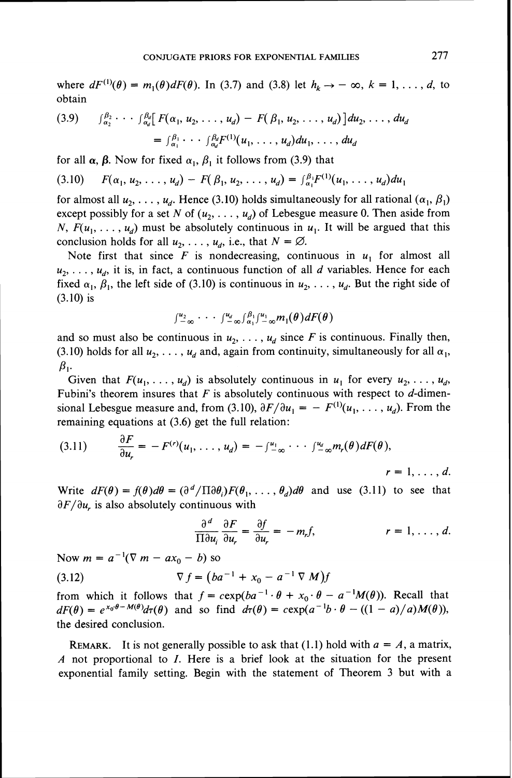where  $dF^{(1)}(\theta) = m_1(\theta) dF(\theta)$ . In (3.7) and (3.8) let  $h_k \to -\infty$ ,  $k = 1, \ldots, d$ , to obtain

$$
(3.9) \qquad \int_{\alpha_2}^{\beta_2} \cdots \int_{\alpha_d}^{\beta_d} \left[ F(\alpha_1, u_2, \ldots, u_d) - F(\beta_1, u_2, \ldots, u_d) \right] du_2, \ldots, du_d
$$

$$
= \int_{\alpha_1}^{\beta_1} \cdots \int_{\alpha_d}^{\beta_d} F^{(1)}(u_1, \ldots, u_d) du_1, \ldots, du_d
$$

for all  $\alpha$ ,  $\beta$ . Now for fixed  $\alpha_1$ ,  $\beta_1$  it follows from (3.9) that

(3.10) 
$$
F(\alpha_1, u_2, \ldots, u_d) - F(\beta_1, u_2, \ldots, u_d) = \int_{\alpha_1}^{\beta_1} F^{(1)}(u_1, \ldots, u_d) du_1
$$

for almost all  $u_1, \ldots, u_d$ . Hence (3.10) holds simultaneously for all rational  $(\alpha_1, \beta_1)$ except possibly for a set N of  $(u_2, \ldots, u_d)$  of Lebesgue measure 0. Then aside from N,  $F(u_1, \ldots, u_d)$  must be absolutely continuous in  $u_1$ . It will be argued that this conclusion holds for all  $u_2, \ldots, u_d$ , i.e., that  $N = \emptyset$ .

Note first that since F is nondecreasing, continuous in  $u_1$  for almost all  $u_1, \ldots, u_d$ , it is, in fact, a continuous function of all d variables. Hence for each fixed  $\alpha_1$ ,  $\beta_1$ , the left side of (3.10) is continuous in  $u_2, \ldots, u_d$ . But the right side of (3.10) is

$$
\int_{-\infty}^{u_2} \cdots \int_{-\infty}^{u_d} \int_{\alpha_1}^{\beta_1} \int_{-\infty}^{u_1} m_1(\theta) dF(\theta)
$$

and so must also be continuous in  $u_1, \ldots, u_d$  since F is continuous. Finally then, (3.10) holds for all  $u_2, \ldots, u_d$  and, again from continuity, simultaneously for all  $\alpha_1$ ,  $\beta_{1}$ .

Given that  $F(u_1, \ldots, u_d)$  is absolutely continuous in  $u_1$  for every  $u_2, \ldots, u_d$ , Fubini's theorem insures that  $F$  is absolutely continuous with respect to  $d$ -dimensional Lebesgue measure and, from (3.10),  $\partial F/\partial u_1 = - F^{(1)}(u_1, \ldots, u_d)$ . From the remaining equations at (3.6) get the full relation:

(3.11) 
$$
\frac{\partial F}{\partial u_r} = -F^{(r)}(u_1, \ldots, u_d) = -\int_{-\infty}^{u_1} \cdots \int_{-\infty}^{u_d} m_r(\theta) dF(\theta),
$$

$$
r = 1, \ldots, d.
$$

Write  $dF(\theta) = f(\theta)d\theta = (\partial^d / \Pi \partial \theta_i)F(\theta_1,\ldots,\theta_d)d\theta$  and use (3.11) to see that  $\partial F/\partial u_r$  is also absolutely continuous with

$$
\frac{\partial^d}{\partial u_i} \frac{\partial F}{\partial u_r} = \frac{\partial f}{\partial u_r} = -m_r f, \qquad r = 1, \ldots, d.
$$

Now  $m = a^{-1}(\nabla m - ax_0 - b)$  so

(3.12) 
$$
\nabla f = (ba^{-1} + x_0 - a^{-1} \nabla M)f
$$

from which it follows that  $f = c \exp(ba^{-1} \cdot \theta + x_0 \cdot \theta - a^{-1}M(\theta))$ . Recall that  $dF(\theta) = e^{x_0 \theta - M(\theta)} d\tau(\theta)$  and so find  $d\tau(\theta) = c \exp(a^{-1}b \cdot \theta - ((1 - a)/a)M(\theta)),$ the desired conclusion.

**REMARK.** It is not generally possible to ask that (1.1) hold with  $a = A$ , a matrix, *<sup>A</sup>*not proportional to I. Here is a brief look at the situation for the present exponential family setting. Begin with the statement of Theorem 3 but with a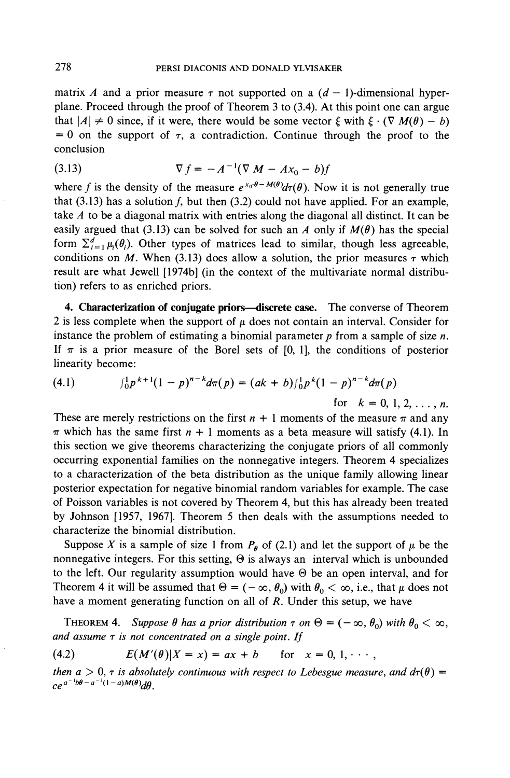matrix A and a prior measure  $\tau$  not supported on a  $(d - 1)$ -dimensional hyperplane. Proceed through the proof of Theorem 3 to (3.4). At this point one can argue that  $|A| \neq 0$  since, if it were, there would be some vector  $\xi$  with  $\xi \cdot (\nabla M(\theta) - b)$  $= 0$  on the support of  $\tau$ , a contradiction. Continue through the proof to the conclusion

(3.13) 
$$
\nabla f = -A^{-1}(\nabla M - Ax_0 - b)f
$$

where f is the density of the measure  $e^{x_0\theta - M(\theta)}d\tau(\theta)$ . Now it is not generally true that  $(3.13)$  has a solution f, but then  $(3.2)$  could not have applied. For an example, take *A* to be a diagonal matrix with entries along the diagonal all distinct. It can be easily argued that (3.13) can be solved for such an A only if  $M(\theta)$  has the special form  $\sum_{i=1}^{d} \mu_i(\theta_i)$ . Other types of matrices lead to similar, though less agreeable, conditions on M. When (3.13) does allow a solution, the prior measures  $\tau$  which result are what Jewel1 [1974b] (in the context of the multivariate normal distribution) refers to as enriched priors.

**4. Characterization of conjugate priors--discrete case.** The converse of Theorem 2 is less complete when the support of  $\mu$  does not contain an interval. Consider for instance the problem of estimating a binomial parameter  $p$  from a sample of size  $n$ . If  $\pi$  is a prior measure of the Borel sets of [0, 1], the conditions of posterior linearity become:

(4.1) 
$$
\int_0^1 p^{k+1} (1-p)^{n-k} d\pi(p) = (ak+b) \int_0^1 p^k (1-p)^{n-k} d\pi(p)
$$
  
for  $k = 0, 1, 2, ..., n$ .

These are merely restrictions on the first  $n + 1$  moments of the measure  $\pi$  and any  $\pi$  which has the same first  $n + 1$  moments as a beta measure will satisfy (4.1). In this section we give theorems characterizing the conjugate priors of all commonly occurring exponential families on the nonnegative integers. Theorem 4 specializes to a characterization of the beta distribution as the unique family allowing linear posterior expectation for negative binomial random variables for example. The case of Poisson variables is not covered by Theorem 4, but this has already been treated by Johnson [1957, 19671. Theorem 5 then deals with the assumptions needed to characterize the binomial distribution.

Suppose X is a sample of size 1 from  $P_{\theta}$  of (2.1) and let the support of  $\mu$  be the nonnegative integers. For this setting,  $\Theta$  is always an interval which is unbounded to the left. Our regularity assumption would have  $\Theta$  be an open interval, and for Theorem 4 it will be assumed that  $\Theta = (-\infty, \theta_0)$  with  $\theta_0 < \infty$ , i.e., that  $\mu$  does not have a moment generating function on all of R. Under this setup, we have

THEOREM 4. Suppose  $\theta$  has a prior distribution  $\tau$  on  $\Theta = (-\infty, \theta_0)$  with  $\theta_0 < \infty$ , and assume  $\tau$  is not concentrated on a single point. If

(4.2) 
$$
E(M'(\theta)|X = x) = ax + b
$$
 for  $x = 0, 1, \dots$ ,

then  $a > 0$ ,  $\tau$  is absolutely continuous with respect to Lebesgue measure, and  $d\tau(\theta) =$ <br> $ce^{a^{-1}b\theta - a^{-1}(1-a)M(\theta)}d\theta$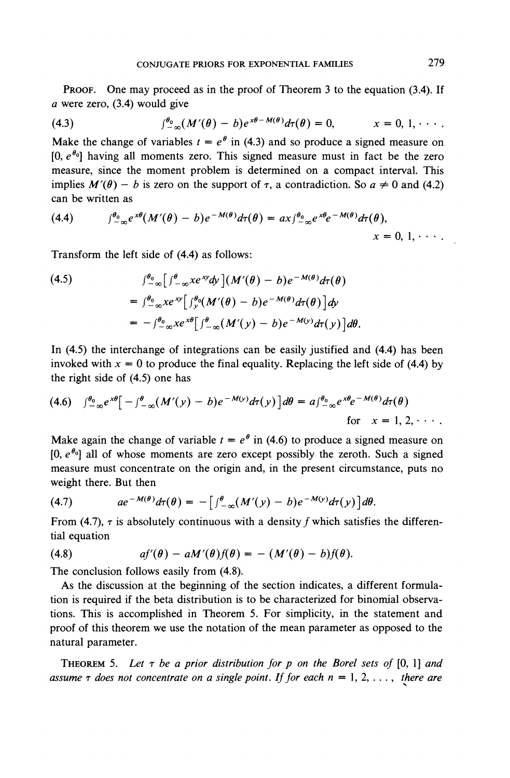PROOF. One may proceed as in the proof of Theorem *3* to the equation *(3.4).* If *a* were zero, *(3.4)* would give

(4.3) 
$$
\int_{-\infty}^{\theta_0} (M'(\theta) - b) e^{x\theta - M(\theta)} d\tau(\theta) = 0, \qquad x = 0, 1, \cdots.
$$

Make the change of variables  $t = e^{\theta}$  in (4.3) and so produce a signed measure on  $[0, e^{\theta_0}]$  having all moments zero. This signed measure must in fact be the zero measure, since the moment problem is determined on a compact interval. This implies  $M'(\theta) - b$  is zero on the support of  $\tau$ , a contradiction. So  $a \neq 0$  and (4.2) can be written as

(4.4) 
$$
\int_{-\infty}^{\theta_0} e^{x\theta} (M'(\theta) - b) e^{-M(\theta)} d\tau(\theta) = a x \int_{-\infty}^{\theta_0} e^{x\theta} e^{-M(\theta)} d\tau(\theta),
$$
  
  $x = 0, 1, \cdots.$ 

Transform the left side of *(4.4)* as follows:

(4.5)  
\n
$$
\int_{-\infty}^{\theta_0} \left[ \int_{-\infty}^{\theta} x e^{xy} dy \right] (M'(\theta) - b) e^{-M(\theta)} d\tau(\theta)
$$
\n
$$
= \int_{-\infty}^{\theta_0} x e^{xy} \left[ \int_{y}^{\theta_0} (M'(\theta) - b) e^{-M(\theta)} d\tau(\theta) \right] dy
$$
\n
$$
= - \int_{-\infty}^{\theta_0} x e^{x\theta} \left[ \int_{-\infty}^{\theta} (M'(y) - b) e^{-M(y)} d\tau(y) \right] d\theta.
$$

In *(4.5)* the interchange of integrations can be easily justified and *(4.4)* has been invoked with  $x = 0$  to produce the final equality. Replacing the left side of (4.4) by the right side of *(4.5)* one has

$$
(4.6) \quad \int_{-\infty}^{\theta_0} e^{x\theta} \left[ -\int_{-\infty}^{\theta} (M'(y) - b)e^{-M(y)} d\tau(y) \right] d\theta = a \int_{-\infty}^{\theta_0} e^{x\theta} e^{-M(\theta)} d\tau(\theta)
$$
  
for  $x = 1, 2, \cdots$ .

Make again the change of variable  $t = e^{\theta}$  in (4.6) to produce a signed measure on  $[0, e^{\theta_0}]$  all of whose moments are zero except possibly the zeroth. Such a signed measure must concentrate on the origin and, in the present circumstance, puts no weight there. But then

$$
(4.7) \t ae^{-M(\theta)}d\tau(\theta)=-\left[\int_{-\infty}^{\theta}(M'(y)-b)e^{-M(y)}d\tau(y)\right]d\theta.
$$

From *(4.7),*r is absolutely continuous with a density *f* which satisfies the differential equation

(4.8) 
$$
af'(\theta) - aM'(\theta)f(\theta) = -(M'(\theta) - b)f(\theta).
$$

The conclusion follows easily from *(4.8).* 

As the discussion at the beginning of the section indicates, a different formulation is required if the beta distribution is to be characterized for binomial observations. This is accomplished in Theorem *5.* For simplicity, *in* the statement and proof of this theorem we use the notation of the mean parameter as opposed to the natural parameter.

THEOREM*5. Let* r *be a prior distribution for p on the Borel sets of* [0, 11 *and assume*  $\tau$  *does not concentrate on a single point. If for each n* = 1, 2, ..., *there are*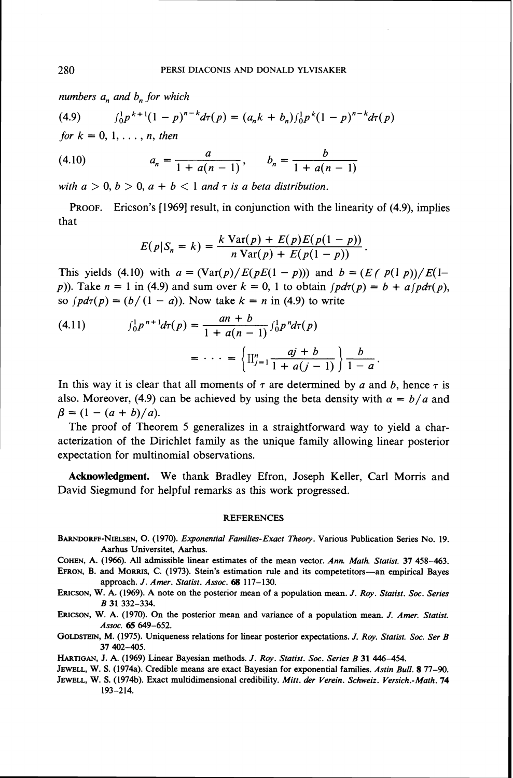numbers  $a_n$  and  $b_n$  for which

(4.9) 
$$
\int_0^1 p^{k+1} (1-p)^{n-k} d\tau(p) = (a_n k + b_n) \int_0^1 p^k (1-p)^{n-k} d\tau(p)
$$

for  $k = 0, 1, ..., n$ , then

(4.10) 
$$
a_n = \frac{a}{1 + a(n-1)}, \qquad b_n = \frac{b}{1 + a(n-1)}
$$

with  $a > 0$ ,  $b > 0$ ,  $a + b < 1$  and  $\tau$  is a beta distribution.

PROOF. Ericson's [I9691 result, in conjunction with the linearity of (4.9), implies that

$$
E(p|S_n = k) = \frac{k \operatorname{Var}(p) + E(p)E(p(1 - p))}{n \operatorname{Var}(p) + E(p(1 - p))}.
$$

This yields (4.10) with  $a = (\text{Var}(p)/E(pE(1-p)))$  and  $b = (E(p(1-p))/E(1-p))$ p)). Take  $n = 1$  in (4.9) and sum over  $k = 0, 1$  to obtain  $\int pd\tau(p) = b + a \int pd\tau(p)$ , so  $\int pd\tau(p) = (b/(1-a))$ . Now take  $k = n$  in (4.9) to write

(4.11) 
$$
\int_0^1 p^{n+1} d\tau(p) = \frac{an + b}{1 + a(n-1)} \int_0^1 p^n d\tau(p)
$$

$$
= \cdots = \left\{ \prod_{j=1}^n \frac{aj + b}{1 + a(j-1)} \right\} \frac{b}{1 - a}.
$$

In this way it is clear that all moments of  $\tau$  are determined by a and b, hence  $\tau$  is also. Moreover, (4.9) can be achieved by using the beta density with  $\alpha = b/a$  and  $\beta = (1 - (a + b)/a).$ 

The proof of Theorem 5 generalizes in a straightforward way to yield a characterization of the Dirichlet family as the unique family allowing linear posterior expectation for multinomial observations.

Acknowledgment. We thank Bradley Efron, Joseph Keller, Carl Morris and David Siegmund for helpful remarks as this work progressed.

## **REFERENCES**

BARNDOREF-NIELSEN, 0. (1970). *Exponential Families-Exact Theory.* Various Publication Series No. 19. Aarhus Universitet, Aarhus.

- COHEN, A. (1966). All admissible linear estimates of the mean vector. *Ann. Math. Statist.* **37** 458-463.
- EFRON, B. and MORRIS, C. (1973). Stein's estimation rule and its competetitors-an empirical Bayes approach. *J. Amer. Statist. Assoc. 68* 117-130.
- ERICSON, W. A. (1969). A note on the posterior mean of a population mean. J. *Roy. Statist. Soc. Series*  **B 31** 332-334.

ERICSON,W. A. (1970). On the posterior mean and variance of a population mean. *J. Amer. Statist. Assoc. 65* 649-652.

- GOLDSTEIN, M. (1975). Uniqueness relations for linear posterior expectations. *J. Roy. Statist. Soc. Ser B*  **37** 402-405.
- **HARTIGAN,** J. A. (1969) Linear Bayesian methods. *J. Roy. Statist. Soc. Series B* **31** 446-454.
- JEWELL,**W.** S. (1974a). Credible means are exact Bayesian for exponential families. *Astin BUN.***8** 77-90.
- JEWELL,W. S. (1974b). Exact multidimensional credibility. *Mitt. der Verein. Schweiz. Versich.-Math.* **74**  193-214.